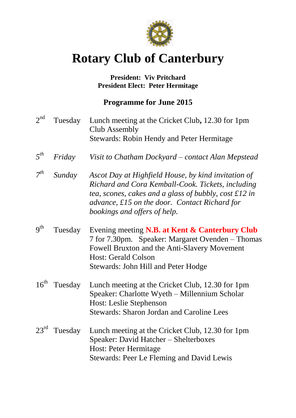

# **Rotary Club of Canterbury**

# **President: Viv Pritchard President Elect: Peter Hermitage**

# **Programme for June 2015**

 $2^{nd}$ Tuesday Lunch meeting at the Cricket Club, 12.30 for 1pm Club Assembly Stewards: Robin Hendy and Peter Hermitage *5 th Friday Visit to Chatham Dockyard – contact Alan Mepstead 7 th Sunday Ascot Day at Highfield House, by kind invitation of Richard and Cora Kemball-Cook. Tickets, including tea, scones, cakes and a glass of bubbly, cost £12 in advance, £15 on the door. Contact Richard for bookings and offers of help.*  $9<sup>th</sup>$ Tuesday Evening meeting **N.B.** at Kent & Canterbury Club 7 for 7.30pm. Speaker: Margaret Ovenden – Thomas Fowell Bruxton and the Anti-Slavery Movement Host: Gerald Colson Stewards: John Hill and Peter Hodge 16<sup>th</sup> Tuesday Lunch meeting at the Cricket Club, 12.30 for 1pm Speaker: Charlotte Wyeth – Millennium Scholar Host: Leslie Stephenson Stewards: Sharon Jordan and Caroline Lees 23<sup>rd</sup> Tuesday Lunch meeting at the Cricket Club, 12.30 for 1pm Speaker: David Hatcher – Shelterboxes Host: Peter Hermitage Stewards: Peer Le Fleming and David Lewis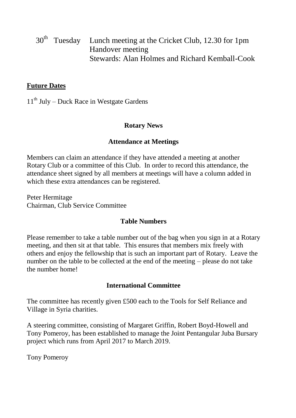30<sup>th</sup> Tuesday Lunch meeting at the Cricket Club, 12.30 for 1pm Handover meeting Stewards: Alan Holmes and Richard Kemball-Cook

### **Future Dates**

 $11<sup>th</sup>$  July – Duck Race in Westgate Gardens

# **Rotary News**

#### **Attendance at Meetings**

Members can claim an attendance if they have attended a meeting at another Rotary Club or a committee of this Club. In order to record this attendance, the attendance sheet signed by all members at meetings will have a column added in which these extra attendances can be registered.

Peter Hermitage Chairman, Club Service Committee

#### **Table Numbers**

Please remember to take a table number out of the bag when you sign in at a Rotary meeting, and then sit at that table. This ensures that members mix freely with others and enjoy the fellowship that is such an important part of Rotary. Leave the number on the table to be collected at the end of the meeting – please do not take the number home!

#### **International Committee**

The committee has recently given £500 each to the Tools for Self Reliance and Village in Syria charities.

A steering committee, consisting of Margaret Griffin, Robert Boyd-Howell and Tony Pomeroy, has been established to manage the Joint Pentangular Juba Bursary project which runs from April 2017 to March 2019.

Tony Pomeroy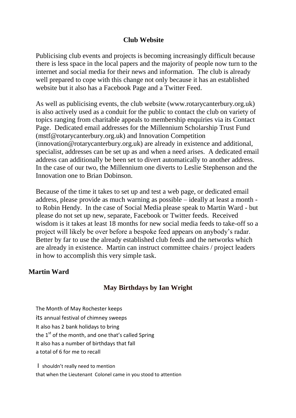#### **Club Website**

Publicising club events and projects is becoming increasingly difficult because there is less space in the local papers and the majority of people now turn to the internet and social media for their news and information. The club is already well prepared to cope with this change not only because it has an established website but it also has a Facebook Page and a Twitter Feed.

As well as publicising events, the club website (www.rotarycanterbury.org.uk) is also actively used as a conduit for the public to contact the club on variety of topics ranging from charitable appeals to membership enquiries via its Contact Page. Dedicated email addresses for the Millennium Scholarship Trust Fund (mstf@rotarycanterbury.org.uk) and Innovation Competition (innovation@rotarycanterbury.org.uk) are already in existence and additional, specialist, addresses can be set up as and when a need arises. A dedicated email address can additionally be been set to divert automatically to another address. In the case of our two, the Millennium one diverts to Leslie Stephenson and the Innovation one to Brian Dobinson.

Because of the time it takes to set up and test a web page, or dedicated email address, please provide as much warning as possible – ideally at least a month to Robin Hendy. In the case of Social Media please speak to Martin Ward - but please do not set up new, separate, Facebook or Twitter feeds. Received wisdom is it takes at least 18 months for new social media feeds to take-off so a project will likely be over before a bespoke feed appears on anybody's radar. Better by far to use the already established club feeds and the networks which are already in existence. Martin can instruct committee chairs / project leaders in how to accomplish this very simple task.

#### **Martin Ward**

#### **May Birthdays by Ian Wright**

The Month of May Rochester keeps

its annual festival of chimney sweeps

It also has 2 bank holidays to bring

the  $1<sup>st</sup>$  of the month, and one that's called Spring

It also has a number of birthdays that fall

a total of 6 for me to recall

I shouldn't really need to mention that when the Lieutenant Colonel came in you stood to attention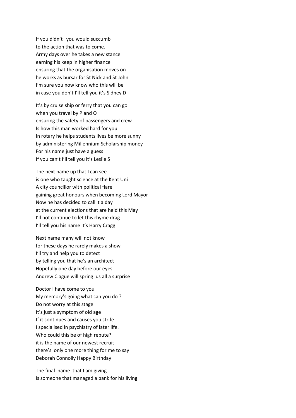If you didn't you would succumb to the action that was to come. Army days over he takes a new stance earning his keep in higher finance ensuring that the organisation moves on he works as bursar for St Nick and St John I'm sure you now know who this will be in case you don't I'll tell you it's Sidney D

It's by cruise ship or ferry that you can go when you travel by P and O ensuring the safety of passengers and crew Is how this man worked hard for you In rotary he helps students lives be more sunny by administering Millennium Scholarship money For his name just have a guess If you can't I'll tell you it's Leslie S

The next name up that I can see is one who taught science at the Kent Uni A city councillor with political flare gaining great honours when becoming Lord Mayor Now he has decided to call it a day at the current elections that are held this May I'll not continue to let this rhyme drag I'll tell you his name it's Harry Cragg

Next name many will not know for these days he rarely makes a show I'll try and help you to detect by telling you that he's an architect Hopefully one day before our eyes Andrew Clague will spring us all a surprise

Doctor I have come to you My memory's going what can you do ? Do not worry at this stage It's just a symptom of old age If it continues and causes you strife I specialised in psychiatry of later life. Who could this be of high repute? it is the name of our newest recruit there's only one more thing for me to say Deborah Connolly Happy Birthday

The final name that I am giving is someone that managed a bank for his living